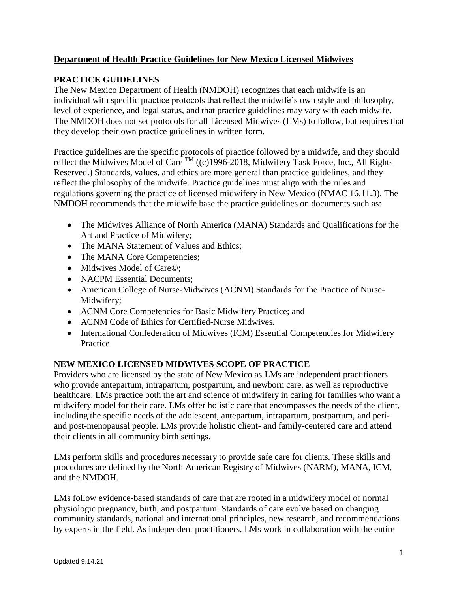## **Department of Health Practice Guidelines for New Mexico Licensed Midwives**

## **PRACTICE GUIDELINES**

The New Mexico Department of Health (NMDOH) recognizes that each midwife is an individual with specific practice protocols that reflect the midwife's own style and philosophy, level of experience, and legal status, and that practice guidelines may vary with each midwife. The NMDOH does not set protocols for all Licensed Midwives (LMs) to follow, but requires that they develop their own practice guidelines in written form.

Practice guidelines are the specific protocols of practice followed by a midwife, and they should reflect the Midwives Model of Care <sup>TM</sup> ((c)1996-2018, Midwifery Task Force, Inc., All Rights Reserved.) Standards, values, and ethics are more general than practice guidelines, and they reflect the philosophy of the midwife. Practice guidelines must align with the rules and regulations governing the practice of licensed midwifery in New Mexico (NMAC 16.11.3). The NMDOH recommends that the midwife base the practice guidelines on documents such as:

- The Midwives Alliance of North America (MANA) Standards and Qualifications for the Art and Practice of Midwifery;
- The MANA Statement of Values and Ethics;
- The MANA Core Competencies;
- Midwives Model of Care©;
- NACPM Essential Documents;
- American College of Nurse-Midwives (ACNM) Standards for the Practice of Nurse-Midwifery;
- ACNM Core Competencies for Basic Midwifery Practice; and
- ACNM Code of Ethics for Certified-Nurse Midwives.
- International Confederation of Midwives (ICM) Essential Competencies for Midwifery Practice

### **NEW MEXICO LICENSED MIDWIVES SCOPE OF PRACTICE**

Providers who are licensed by the state of New Mexico as LMs are independent practitioners who provide antepartum, intrapartum, postpartum, and newborn care, as well as reproductive healthcare. LMs practice both the art and science of midwifery in caring for families who want a midwifery model for their care. LMs offer holistic care that encompasses the needs of the client, including the specific needs of the adolescent, antepartum, intrapartum, postpartum, and periand post-menopausal people. LMs provide holistic client- and family-centered care and attend their clients in all community birth settings.

LMs perform skills and procedures necessary to provide safe care for clients. These skills and procedures are defined by the North American Registry of Midwives (NARM), MANA, ICM, and the NMDOH.

LMs follow evidence-based standards of care that are rooted in a midwifery model of normal physiologic pregnancy, birth, and postpartum. Standards of care evolve based on changing community standards, national and international principles, new research, and recommendations by experts in the field. As independent practitioners, LMs work in collaboration with the entire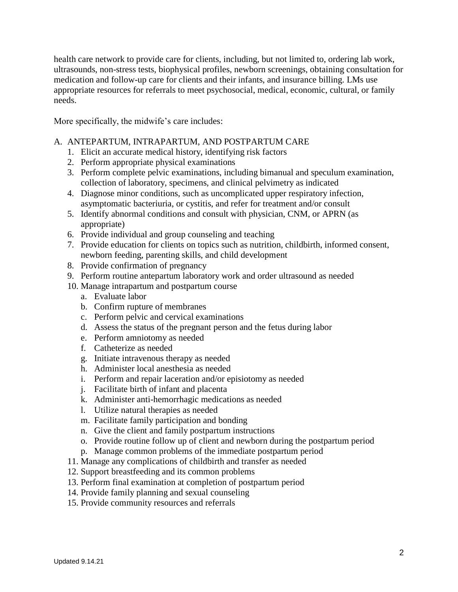health care network to provide care for clients, including, but not limited to, ordering lab work, ultrasounds, non-stress tests, biophysical profiles, newborn screenings, obtaining consultation for medication and follow-up care for clients and their infants, and insurance billing. LMs use appropriate resources for referrals to meet psychosocial, medical, economic, cultural, or family needs.

More specifically, the midwife's care includes:

### A. ANTEPARTUM, INTRAPARTUM, AND POSTPARTUM CARE

- 1. Elicit an accurate medical history, identifying risk factors
- 2. Perform appropriate physical examinations
- 3. Perform complete pelvic examinations, including bimanual and speculum examination, collection of laboratory, specimens, and clinical pelvimetry as indicated
- 4. Diagnose minor conditions, such as uncomplicated upper respiratory infection, asymptomatic bacteriuria, or cystitis, and refer for treatment and/or consult
- 5. Identify abnormal conditions and consult with physician, CNM, or APRN (as appropriate)
- 6. Provide individual and group counseling and teaching
- 7. Provide education for clients on topics such as nutrition, childbirth, informed consent, newborn feeding, parenting skills, and child development
- 8. Provide confirmation of pregnancy
- 9. Perform routine antepartum laboratory work and order ultrasound as needed
- 10. Manage intrapartum and postpartum course
	- a. Evaluate labor
	- b. Confirm rupture of membranes
	- c. Perform pelvic and cervical examinations
	- d. Assess the status of the pregnant person and the fetus during labor
	- e. Perform amniotomy as needed
	- f. Catheterize as needed
	- g. Initiate intravenous therapy as needed
	- h. Administer local anesthesia as needed
	- i. Perform and repair laceration and/or episiotomy as needed
	- j. Facilitate birth of infant and placenta
	- k. Administer anti-hemorrhagic medications as needed
	- l. Utilize natural therapies as needed
	- m. Facilitate family participation and bonding
	- n. Give the client and family postpartum instructions
	- o. Provide routine follow up of client and newborn during the postpartum period
	- p. Manage common problems of the immediate postpartum period
- 11. Manage any complications of childbirth and transfer as needed
- 12. Support breastfeeding and its common problems
- 13. Perform final examination at completion of postpartum period
- 14. Provide family planning and sexual counseling
- 15. Provide community resources and referrals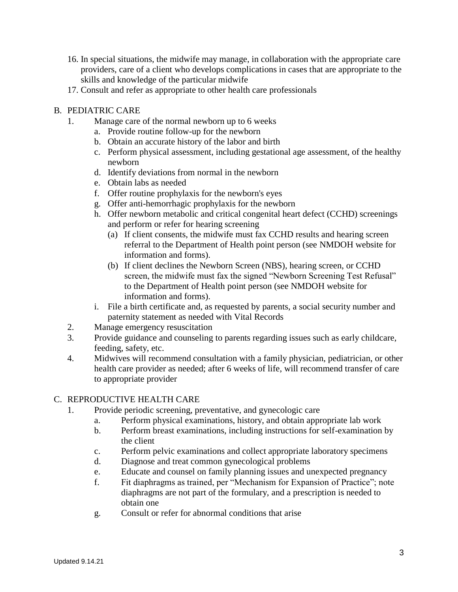- 16. In special situations, the midwife may manage, in collaboration with the appropriate care providers, care of a client who develops complications in cases that are appropriate to the skills and knowledge of the particular midwife
- 17. Consult and refer as appropriate to other health care professionals

### B. PEDIATRIC CARE

- 1. Manage care of the normal newborn up to 6 weeks
	- a. Provide routine follow-up for the newborn
	- b. Obtain an accurate history of the labor and birth
	- c. Perform physical assessment, including gestational age assessment, of the healthy newborn
	- d. Identify deviations from normal in the newborn
	- e. Obtain labs as needed
	- f. Offer routine prophylaxis for the newborn's eyes
	- g. Offer anti-hemorrhagic prophylaxis for the newborn
	- h. Offer newborn metabolic and critical congenital heart defect (CCHD) screenings and perform or refer for hearing screening
		- (a) If client consents, the midwife must fax CCHD results and hearing screen referral to the Department of Health point person (see NMDOH website for information and forms).
		- (b) If client declines the Newborn Screen (NBS), hearing screen, or CCHD screen, the midwife must fax the signed "Newborn Screening Test Refusal" to the Department of Health point person (see NMDOH website for information and forms).
	- i. File a birth certificate and, as requested by parents, a social security number and paternity statement as needed with Vital Records
- 2. Manage emergency resuscitation
- 3. Provide guidance and counseling to parents regarding issues such as early childcare, feeding, safety, etc.
- 4. Midwives will recommend consultation with a family physician, pediatrician, or other health care provider as needed; after 6 weeks of life, will recommend transfer of care to appropriate provider

### C. REPRODUCTIVE HEALTH CARE

- 1. Provide periodic screening, preventative, and gynecologic care
	- a. Perform physical examinations, history, and obtain appropriate lab work
	- b. Perform breast examinations, including instructions for self-examination by the client
	- c. Perform pelvic examinations and collect appropriate laboratory specimens
	- d. Diagnose and treat common gynecological problems
	- e. Educate and counsel on family planning issues and unexpected pregnancy
	- f. Fit diaphragms as trained, per "Mechanism for Expansion of Practice"; note diaphragms are not part of the formulary, and a prescription is needed to obtain one
	- g. Consult or refer for abnormal conditions that arise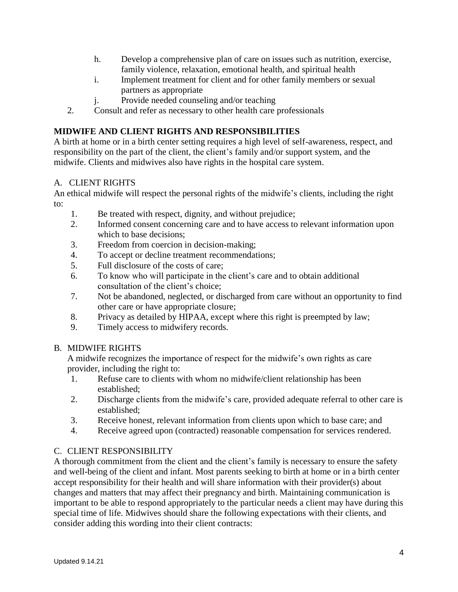- h. Develop a comprehensive plan of care on issues such as nutrition, exercise, family violence, relaxation, emotional health, and spiritual health
- i. Implement treatment for client and for other family members or sexual partners as appropriate
- j. Provide needed counseling and/or teaching
- 2. Consult and refer as necessary to other health care professionals

# **MIDWIFE AND CLIENT RIGHTS AND RESPONSIBILITIES**

A birth at home or in a birth center setting requires a high level of self-awareness, respect, and responsibility on the part of the client, the client's family and/or support system, and the midwife. Clients and midwives also have rights in the hospital care system.

## A. CLIENT RIGHTS

An ethical midwife will respect the personal rights of the midwife's clients, including the right to:

- 1. Be treated with respect, dignity, and without prejudice;
- 2. Informed consent concerning care and to have access to relevant information upon which to base decisions;
- 3. Freedom from coercion in decision-making;
- 4. To accept or decline treatment recommendations;
- 5. Full disclosure of the costs of care;
- 6. To know who will participate in the client's care and to obtain additional consultation of the client's choice;
- 7. Not be abandoned, neglected, or discharged from care without an opportunity to find other care or have appropriate closure;
- 8. Privacy as detailed by HIPAA, except where this right is preempted by law;
- 9. Timely access to midwifery records.

#### B. MIDWIFE RIGHTS

A midwife recognizes the importance of respect for the midwife's own rights as care provider, including the right to:

- 1. Refuse care to clients with whom no midwife/client relationship has been established;
- 2. Discharge clients from the midwife's care, provided adequate referral to other care is established;
- 3. Receive honest, relevant information from clients upon which to base care; and
- 4. Receive agreed upon (contracted) reasonable compensation for services rendered.

### C. CLIENT RESPONSIBILITY

A thorough commitment from the client and the client's family is necessary to ensure the safety and well-being of the client and infant. Most parents seeking to birth at home or in a birth center accept responsibility for their health and will share information with their provider(s) about changes and matters that may affect their pregnancy and birth. Maintaining communication is important to be able to respond appropriately to the particular needs a client may have during this special time of life. Midwives should share the following expectations with their clients, and consider adding this wording into their client contracts: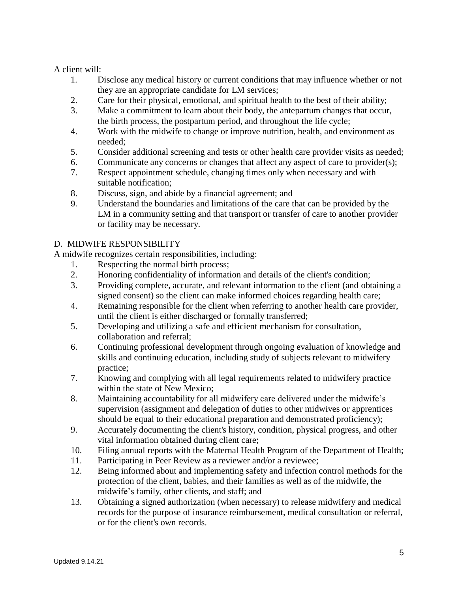A client will:

- 1. Disclose any medical history or current conditions that may influence whether or not they are an appropriate candidate for LM services;
- 2. Care for their physical, emotional, and spiritual health to the best of their ability;
- 3. Make a commitment to learn about their body, the antepartum changes that occur, the birth process, the postpartum period, and throughout the life cycle;
- 4. Work with the midwife to change or improve nutrition, health, and environment as needed;
- 5. Consider additional screening and tests or other health care provider visits as needed;
- 6. Communicate any concerns or changes that affect any aspect of care to provider(s);
- 7. Respect appointment schedule, changing times only when necessary and with suitable notification;
- 8. Discuss, sign, and abide by a financial agreement; and
- 9. Understand the boundaries and limitations of the care that can be provided by the LM in a community setting and that transport or transfer of care to another provider or facility may be necessary.

# D. MIDWIFE RESPONSIBILITY

A midwife recognizes certain responsibilities, including:

- 1. Respecting the normal birth process;
- 2. Honoring confidentiality of information and details of the client's condition;
- 3. Providing complete, accurate, and relevant information to the client (and obtaining a signed consent) so the client can make informed choices regarding health care;
- 4. Remaining responsible for the client when referring to another health care provider, until the client is either discharged or formally transferred;
- 5. Developing and utilizing a safe and efficient mechanism for consultation, collaboration and referral;
- 6. Continuing professional development through ongoing evaluation of knowledge and skills and continuing education, including study of subjects relevant to midwifery practice;
- 7. Knowing and complying with all legal requirements related to midwifery practice within the state of New Mexico;
- 8. Maintaining accountability for all midwifery care delivered under the midwife's supervision (assignment and delegation of duties to other midwives or apprentices should be equal to their educational preparation and demonstrated proficiency);
- 9. Accurately documenting the client's history, condition, physical progress, and other vital information obtained during client care;
- 10. Filing annual reports with the Maternal Health Program of the Department of Health;
- 11. Participating in Peer Review as a reviewer and/or a reviewee;
- 12. Being informed about and implementing safety and infection control methods for the protection of the client, babies, and their families as well as of the midwife, the midwife's family, other clients, and staff; and
- 13. Obtaining a signed authorization (when necessary) to release midwifery and medical records for the purpose of insurance reimbursement, medical consultation or referral, or for the client's own records.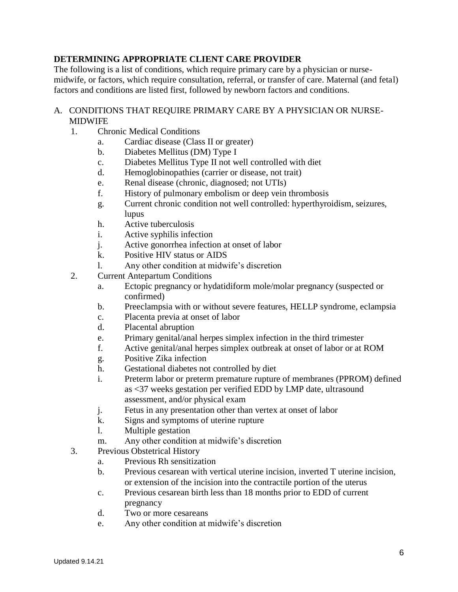## **DETERMINING APPROPRIATE CLIENT CARE PROVIDER**

The following is a list of conditions, which require primary care by a physician or nursemidwife, or factors, which require consultation, referral, or transfer of care. Maternal (and fetal) factors and conditions are listed first, followed by newborn factors and conditions.

#### A. CONDITIONS THAT REQUIRE PRIMARY CARE BY A PHYSICIAN OR NURSE-MIDWIFE

- 1. Chronic Medical Conditions
	- a. Cardiac disease (Class II or greater)
	- b. Diabetes Mellitus (DM) Type I
	- c. Diabetes Mellitus Type II not well controlled with diet
	- d. Hemoglobinopathies (carrier or disease, not trait)
	- e. Renal disease (chronic, diagnosed; not UTIs)
	- f. History of pulmonary embolism or deep vein thrombosis
	- g. Current chronic condition not well controlled: hyperthyroidism, seizures, lupus
	- h. Active tuberculosis
	- i. Active syphilis infection
	- j. Active gonorrhea infection at onset of labor
	- k. Positive HIV status or AIDS
	- l. Any other condition at midwife's discretion
- 2. Current Antepartum Conditions
	- a. Ectopic pregnancy or hydatidiform mole/molar pregnancy (suspected or confirmed)
	- b. Preeclampsia with or without severe features, HELLP syndrome, eclampsia
	- c. Placenta previa at onset of labor
	- d. Placental abruption
	- e. Primary genital/anal herpes simplex infection in the third trimester
	- f. Active genital/anal herpes simplex outbreak at onset of labor or at ROM
	- g. Positive Zika infection
	- h. Gestational diabetes not controlled by diet
	- i. Preterm labor or preterm premature rupture of membranes (PPROM) defined as <37 weeks gestation per verified EDD by LMP date, ultrasound assessment, and/or physical exam
	- j. Fetus in any presentation other than vertex at onset of labor
	- k. Signs and symptoms of uterine rupture
	- l. Multiple gestation
	- m. Any other condition at midwife's discretion
- 3. Previous Obstetrical History
	- a. Previous Rh sensitization
	- b. Previous cesarean with vertical uterine incision, inverted T uterine incision, or extension of the incision into the contractile portion of the uterus
	- c. Previous cesarean birth less than 18 months prior to EDD of current pregnancy
	- d. Two or more cesareans
	- e. Any other condition at midwife's discretion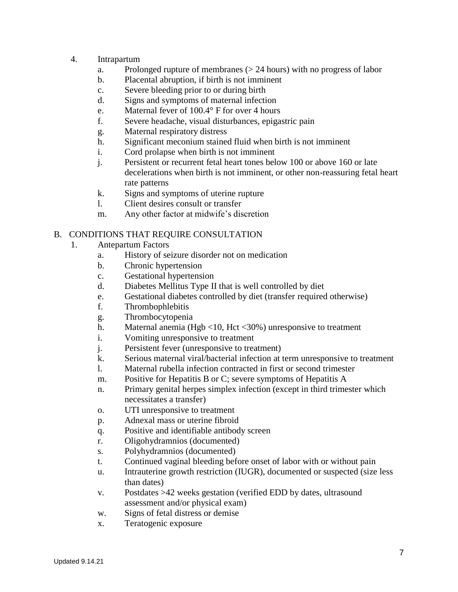- 4. Intrapartum
	- a. Prolonged rupture of membranes (> 24 hours) with no progress of labor
	- b. Placental abruption, if birth is not imminent
	- c. Severe bleeding prior to or during birth
	- d. Signs and symptoms of maternal infection
	- e. Maternal fever of 100.4° F for over 4 hours
	- f. Severe headache, visual disturbances, epigastric pain
	- g. Maternal respiratory distress
	- h. Significant meconium stained fluid when birth is not imminent
	- i. Cord prolapse when birth is not imminent
	- j. Persistent or recurrent fetal heart tones below 100 or above 160 or late decelerations when birth is not imminent, or other non-reassuring fetal heart rate patterns
	- k. Signs and symptoms of uterine rupture
	- l. Client desires consult or transfer
	- m. Any other factor at midwife's discretion

### B. CONDITIONS THAT REQUIRE CONSULTATION

- 1. Antepartum Factors
	- a. History of seizure disorder not on medication
	- b. Chronic hypertension
	- c. Gestational hypertension
	- d. Diabetes Mellitus Type II that is well controlled by diet
	- e. Gestational diabetes controlled by diet (transfer required otherwise)
	- f. Thrombophlebitis
	- g. Thrombocytopenia
	- h. Maternal anemia (Hgb <10, Hct <30%) unresponsive to treatment
	- i. Vomiting unresponsive to treatment
	- j. Persistent fever (unresponsive to treatment)
	- k. Serious maternal viral/bacterial infection at term unresponsive to treatment
	- l. Maternal rubella infection contracted in first or second trimester
	- m. Positive for Hepatitis B or C; severe symptoms of Hepatitis A
	- n. Primary genital herpes simplex infection (except in third trimester which necessitates a transfer)
	- o. UTI unresponsive to treatment
	- p. Adnexal mass or uterine fibroid
	- q. Positive and identifiable antibody screen
	- r. Oligohydramnios (documented)
	- s. Polyhydramnios (documented)
	- t. Continued vaginal bleeding before onset of labor with or without pain
	- u. Intrauterine growth restriction (IUGR), documented or suspected (size less than dates)
	- v. Postdates >42 weeks gestation (verified EDD by dates, ultrasound assessment and/or physical exam)
	- w. Signs of fetal distress or demise
	- x. Teratogenic exposure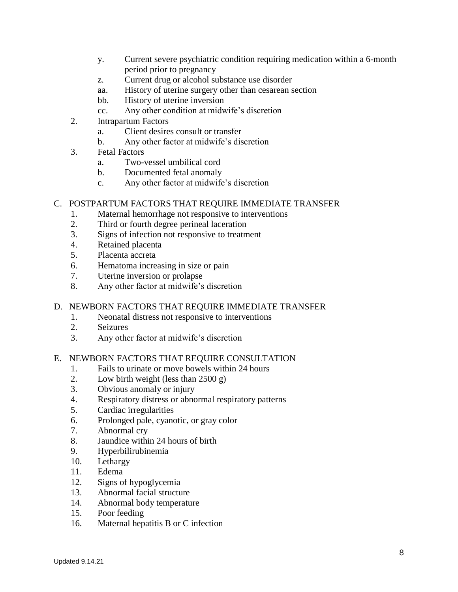- y. Current severe psychiatric condition requiring medication within a 6-month period prior to pregnancy
- z. Current drug or alcohol substance use disorder
- aa. History of uterine surgery other than cesarean section
- bb. History of uterine inversion
- cc. Any other condition at midwife's discretion
- 2. Intrapartum Factors
	- a. Client desires consult or transfer
	- b. Any other factor at midwife's discretion
- 3. Fetal Factors
	- a. Two-vessel umbilical cord
	- b. Documented fetal anomaly
	- c. Any other factor at midwife's discretion

#### C. POSTPARTUM FACTORS THAT REQUIRE IMMEDIATE TRANSFER

- 1. Maternal hemorrhage not responsive to interventions
- 2. Third or fourth degree perineal laceration
- 3. Signs of infection not responsive to treatment
- 4. Retained placenta
- 5. Placenta accreta
- 6. Hematoma increasing in size or pain
- 7. Uterine inversion or prolapse
- 8. Any other factor at midwife's discretion

#### D. NEWBORN FACTORS THAT REQUIRE IMMEDIATE TRANSFER

- 1. Neonatal distress not responsive to interventions
- 2. Seizures
- 3. Any other factor at midwife's discretion

#### E. NEWBORN FACTORS THAT REQUIRE CONSULTATION

- 1. Fails to urinate or move bowels within 24 hours
- 2. Low birth weight (less than 2500 g)
- 3. Obvious anomaly or injury
- 4. Respiratory distress or abnormal respiratory patterns
- 5. Cardiac irregularities
- 6. Prolonged pale, cyanotic, or gray color
- 7. Abnormal cry
- 8. Jaundice within 24 hours of birth
- 9. Hyperbilirubinemia
- 10. Lethargy
- 11. Edema
- 12. Signs of hypoglycemia
- 13. Abnormal facial structure
- 14. Abnormal body temperature
- 15. Poor feeding
- 16. Maternal hepatitis B or C infection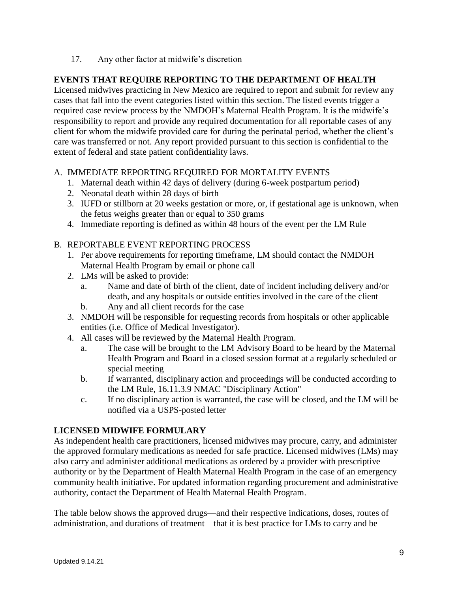17. Any other factor at midwife's discretion

## **EVENTS THAT REQUIRE REPORTING TO THE DEPARTMENT OF HEALTH**

Licensed midwives practicing in New Mexico are required to report and submit for review any cases that fall into the event categories listed within this section. The listed events trigger a required case review process by the NMDOH's Maternal Health Program. It is the midwife's responsibility to report and provide any required documentation for all reportable cases of any client for whom the midwife provided care for during the perinatal period, whether the client's care was transferred or not. Any report provided pursuant to this section is confidential to the extent of federal and state patient confidentiality laws.

### A. IMMEDIATE REPORTING REQUIRED FOR MORTALITY EVENTS

- 1. Maternal death within 42 days of delivery (during 6-week postpartum period)
- 2. Neonatal death within 28 days of birth
- 3. IUFD or stillborn at 20 weeks gestation or more, or, if gestational age is unknown, when the fetus weighs greater than or equal to 350 grams
- 4. Immediate reporting is defined as within 48 hours of the event per the LM Rule

## B. REPORTABLE EVENT REPORTING PROCESS

- 1. Per above requirements for reporting timeframe, LM should contact the NMDOH Maternal Health Program by email or phone call
- 2. LMs will be asked to provide:
	- a. Name and date of birth of the client, date of incident including delivery and/or death, and any hospitals or outside entities involved in the care of the client
	- b. Any and all client records for the case
- 3. NMDOH will be responsible for requesting records from hospitals or other applicable entities (i.e. Office of Medical Investigator).
- 4. All cases will be reviewed by the Maternal Health Program.
	- a. The case will be brought to the LM Advisory Board to be heard by the Maternal Health Program and Board in a closed session format at a regularly scheduled or special meeting
	- b. If warranted, disciplinary action and proceedings will be conducted according to the LM Rule, 16.11.3.9 NMAC "Disciplinary Action"
	- c. If no disciplinary action is warranted, the case will be closed, and the LM will be notified via a USPS-posted letter

### **LICENSED MIDWIFE FORMULARY**

As independent health care practitioners, licensed midwives may procure, carry, and administer the approved formulary medications as needed for safe practice. Licensed midwives (LMs) may also carry and administer additional medications as ordered by a provider with prescriptive authority or by the Department of Health Maternal Health Program in the case of an emergency community health initiative. For updated information regarding procurement and administrative authority, contact the Department of Health Maternal Health Program.

The table below shows the approved drugs—and their respective indications, doses, routes of administration, and durations of treatment—that it is best practice for LMs to carry and be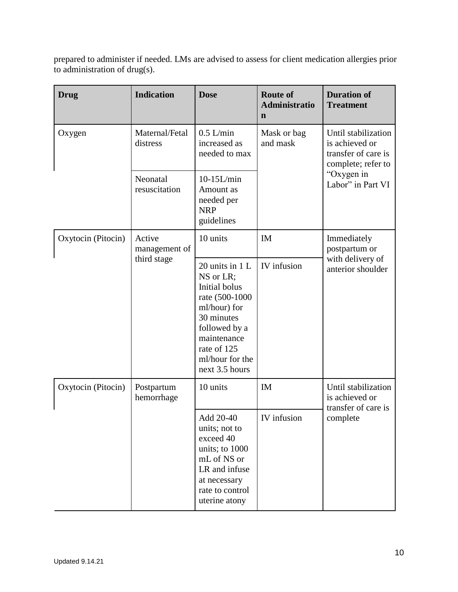prepared to administer if needed. LMs are advised to assess for client medication allergies prior to administration of drug(s).

| <b>Drug</b>        | <b>Indication</b>          | <b>Dose</b>                                                                                                                                                                         | <b>Route of</b><br><b>Administratio</b><br>$\mathbf n$ | <b>Duration of</b><br><b>Treatment</b>                                                                                |
|--------------------|----------------------------|-------------------------------------------------------------------------------------------------------------------------------------------------------------------------------------|--------------------------------------------------------|-----------------------------------------------------------------------------------------------------------------------|
| Oxygen             | Maternal/Fetal<br>distress | $0.5$ L/min<br>increased as<br>needed to max                                                                                                                                        | Mask or bag<br>and mask                                | Until stabilization<br>is achieved or<br>transfer of care is<br>complete; refer to<br>"Oxygen in<br>Labor" in Part VI |
|                    | Neonatal<br>resuscitation  | $10-15L/min$<br>Amount as<br>needed per<br><b>NRP</b><br>guidelines                                                                                                                 |                                                        |                                                                                                                       |
| Oxytocin (Pitocin) | Active<br>management of    | 10 units                                                                                                                                                                            | IM                                                     | Immediately<br>postpartum or<br>with delivery of<br>anterior shoulder                                                 |
|                    | third stage                | 20 units in $1 L$<br>NS or LR;<br>Initial bolus<br>rate (500-1000<br>ml/hour) for<br>30 minutes<br>followed by a<br>maintenance<br>rate of 125<br>ml/hour for the<br>next 3.5 hours | IV infusion                                            |                                                                                                                       |
| Oxytocin (Pitocin) | Postpartum<br>hemorrhage   | 10 units                                                                                                                                                                            | IM                                                     | Until stabilization<br>is achieved or<br>transfer of care is<br>complete                                              |
|                    |                            | Add 20-40<br>units; not to<br>exceed 40<br>units; to 1000<br>mL of NS or<br>LR and infuse<br>at necessary<br>rate to control<br>uterine atony                                       | IV infusion                                            |                                                                                                                       |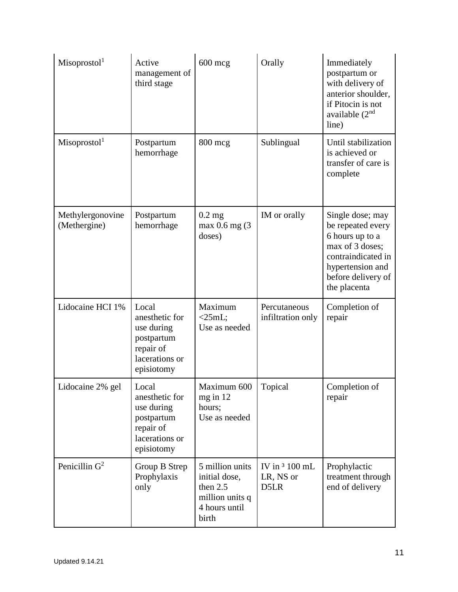| Misoprostol <sup>1</sup>         | Active<br>management of<br>third stage                                                           | $600$ mcg                                                                                 | Orally                               | Immediately<br>postpartum or<br>with delivery of<br>anterior shoulder,<br>if Pitocin is not<br>available $(2nd$<br>line)                                    |
|----------------------------------|--------------------------------------------------------------------------------------------------|-------------------------------------------------------------------------------------------|--------------------------------------|-------------------------------------------------------------------------------------------------------------------------------------------------------------|
| Misoprostol <sup>1</sup>         | Postpartum<br>hemorrhage                                                                         | $800$ mcg                                                                                 | Sublingual                           | Until stabilization<br>is achieved or<br>transfer of care is<br>complete                                                                                    |
| Methylergonovine<br>(Methergine) | Postpartum<br>hemorrhage                                                                         | $0.2$ mg<br>max 0.6 mg (3<br>doses)                                                       | IM or orally                         | Single dose; may<br>be repeated every<br>6 hours up to a<br>max of 3 doses;<br>contraindicated in<br>hypertension and<br>before delivery of<br>the placenta |
| Lidocaine HCI 1%                 | Local<br>anesthetic for<br>use during<br>postpartum<br>repair of<br>lacerations or<br>episiotomy | Maximum<br>$<$ 25mL;<br>Use as needed                                                     | Percutaneous<br>infiltration only    | Completion of<br>repair                                                                                                                                     |
| Lidocaine 2% gel                 | Local<br>anesthetic for<br>use during<br>postpartum<br>repair of<br>lacerations or<br>episiotomy | Maximum 600<br>mg in 12<br>hours;<br>Use as needed                                        | Topical                              | Completion of<br>repair                                                                                                                                     |
| Penicillin $G^2$                 | Group B Strep<br>Prophylaxis<br>only                                                             | 5 million units<br>initial dose,<br>then 2.5<br>million units q<br>4 hours until<br>birth | IV in $3100$ mL<br>LR, NS or<br>D5LR | Prophylactic<br>treatment through<br>end of delivery                                                                                                        |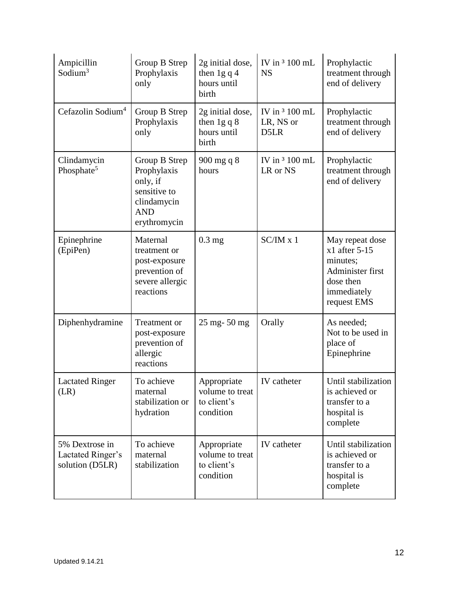| Ampicillin<br>Sodium <sup>3</sup>                      | Group B Strep<br>Prophylaxis<br>only                                                                  | 2g initial dose,<br>then $1g q 4$<br>hours until<br>birth  | IV in 3 100 mL<br><b>NS</b>         | Prophylactic<br>treatment through<br>end of delivery                                                          |
|--------------------------------------------------------|-------------------------------------------------------------------------------------------------------|------------------------------------------------------------|-------------------------------------|---------------------------------------------------------------------------------------------------------------|
| Cefazolin Sodium <sup>4</sup>                          | Group B Strep<br>Prophylaxis<br>only                                                                  | 2g initial dose,<br>then $1g q 8$<br>hours until<br>birth  | IV in 3 100 mL<br>LR, NS or<br>D5LR | Prophylactic<br>treatment through<br>end of delivery                                                          |
| Clindamycin<br>Phosphate <sup>5</sup>                  | Group B Strep<br>Prophylaxis<br>only, if<br>sensitive to<br>clindamycin<br><b>AND</b><br>erythromycin | 900 mg q 8<br>hours                                        | IV in 3 100 mL<br>LR or NS          | Prophylactic<br>treatment through<br>end of delivery                                                          |
| Epinephrine<br>(EpiPen)                                | Maternal<br>treatment or<br>post-exposure<br>prevention of<br>severe allergic<br>reactions            | $0.3$ mg                                                   | $SC/IM \times 1$                    | May repeat dose<br>$x1$ after 5-15<br>minutes;<br>Administer first<br>dose then<br>immediately<br>request EMS |
| Diphenhydramine                                        | Treatment or<br>post-exposure<br>prevention of<br>allergic<br>reactions                               | 25 mg-50 mg                                                | Orally                              | As needed;<br>Not to be used in<br>place of<br>Epinephrine                                                    |
| <b>Lactated Ringer</b><br>(LR)                         | To achieve<br>maternal<br>stabilization or<br>hydration                                               | Appropriate<br>volume to treat<br>to client's<br>condition | IV catheter                         | Until stabilization<br>is achieved or<br>transfer to a<br>hospital is<br>complete                             |
| 5% Dextrose in<br>Lactated Ringer's<br>solution (D5LR) | To achieve<br>maternal<br>stabilization                                                               | Appropriate<br>volume to treat<br>to client's<br>condition | IV catheter                         | Until stabilization<br>is achieved or<br>transfer to a<br>hospital is<br>complete                             |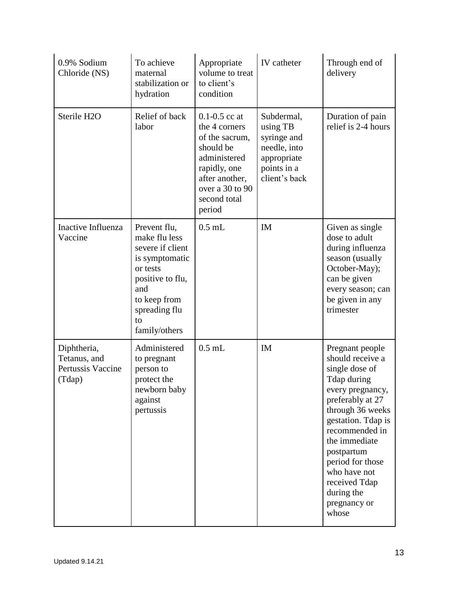| 0.9% Sodium<br>Chloride (NS)                               | To achieve<br>maternal<br>stabilization or<br>hydration                                                                                                            | Appropriate<br>volume to treat<br>to client's<br>condition                                                                                                       | IV catheter                                                                                          | Through end of<br>delivery                                                                                                                                                                                                                                                                          |
|------------------------------------------------------------|--------------------------------------------------------------------------------------------------------------------------------------------------------------------|------------------------------------------------------------------------------------------------------------------------------------------------------------------|------------------------------------------------------------------------------------------------------|-----------------------------------------------------------------------------------------------------------------------------------------------------------------------------------------------------------------------------------------------------------------------------------------------------|
| Sterile H2O                                                | Relief of back<br>labor                                                                                                                                            | $0.1 - 0.5$ cc at<br>the 4 corners<br>of the sacrum,<br>should be<br>administered<br>rapidly, one<br>after another,<br>over a 30 to 90<br>second total<br>period | Subdermal,<br>using TB<br>syringe and<br>needle, into<br>appropriate<br>points in a<br>client's back | Duration of pain<br>relief is 2-4 hours                                                                                                                                                                                                                                                             |
| Inactive Influenza<br>Vaccine                              | Prevent flu,<br>make flu less<br>severe if client<br>is symptomatic<br>or tests<br>positive to flu,<br>and<br>to keep from<br>spreading flu<br>to<br>family/others | $0.5$ mL                                                                                                                                                         | <b>IM</b>                                                                                            | Given as single<br>dose to adult<br>during influenza<br>season (usually<br>October-May);<br>can be given<br>every season; can<br>be given in any<br>trimester                                                                                                                                       |
| Diphtheria,<br>Tetanus, and<br>Pertussis Vaccine<br>(Tdap) | Administered<br>to pregnant<br>person to<br>protect the<br>newborn baby<br>against<br>pertussis                                                                    | $0.5$ mL                                                                                                                                                         | <b>IM</b>                                                                                            | Pregnant people<br>should receive a<br>single dose of<br>Tdap during<br>every pregnancy,<br>preferably at 27<br>through 36 weeks<br>gestation. Tdap is<br>recommended in<br>the immediate<br>postpartum<br>period for those<br>who have not<br>received Tdap<br>during the<br>pregnancy or<br>whose |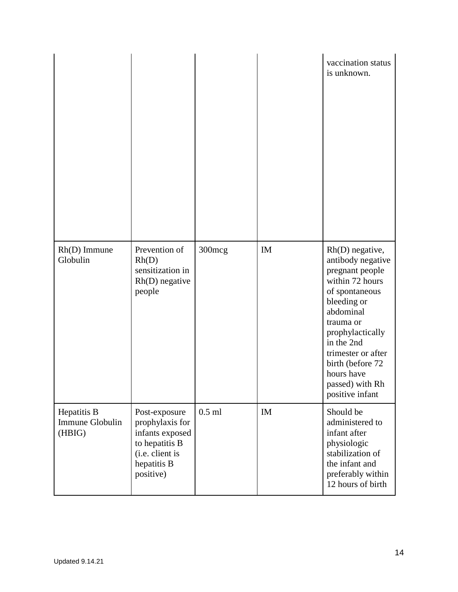|                                          |                                                                                                                      |          |    | vaccination status<br>is unknown.                                                                                                                                                                                                                                     |
|------------------------------------------|----------------------------------------------------------------------------------------------------------------------|----------|----|-----------------------------------------------------------------------------------------------------------------------------------------------------------------------------------------------------------------------------------------------------------------------|
| $Rh(D)$ Immune<br>Globulin               | Prevention of<br>Rh(D)<br>sensitization in<br>$Rh(D)$ negative<br>people                                             | 300mcg   | IM | Rh(D) negative,<br>antibody negative<br>pregnant people<br>within 72 hours<br>of spontaneous<br>bleeding or<br>abdominal<br>trauma or<br>prophylactically<br>in the 2nd<br>trimester or after<br>birth (before 72<br>hours have<br>passed) with Rh<br>positive infant |
| Hepatitis B<br>Immune Globulin<br>(HBIG) | Post-exposure<br>prophylaxis for<br>infants exposed<br>to hepatitis B<br>(i.e. client is<br>hepatitis B<br>positive) | $0.5$ ml | IM | Should be<br>administered to<br>infant after<br>physiologic<br>stabilization of<br>the infant and<br>preferably within<br>12 hours of birth                                                                                                                           |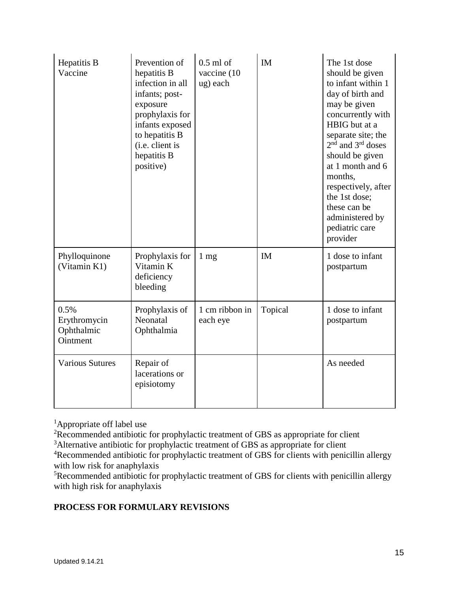| Hepatitis B<br>Vaccine                         | Prevention of<br>hepatitis B<br>infection in all<br>infants; post-<br>exposure<br>prophylaxis for<br>infants exposed<br>to hepatitis B<br>(i.e. client is<br>hepatitis B<br>positive) | $0.5$ ml of<br>vaccine (10<br>ug) each | IM        | The 1st dose<br>should be given<br>to infant within 1<br>day of birth and<br>may be given<br>concurrently with<br>HBIG but at a<br>separate site; the<br>$2nd$ and $3rd$ doses<br>should be given<br>at 1 month and 6<br>months,<br>respectively, after<br>the 1st dose;<br>these can be<br>administered by<br>pediatric care<br>provider |
|------------------------------------------------|---------------------------------------------------------------------------------------------------------------------------------------------------------------------------------------|----------------------------------------|-----------|-------------------------------------------------------------------------------------------------------------------------------------------------------------------------------------------------------------------------------------------------------------------------------------------------------------------------------------------|
| Phylloquinone<br>(Vitamin K1)                  | Prophylaxis for<br>Vitamin K<br>deficiency<br>bleeding                                                                                                                                | $1 \text{ mg}$                         | <b>IM</b> | 1 dose to infant<br>postpartum                                                                                                                                                                                                                                                                                                            |
| 0.5%<br>Erythromycin<br>Ophthalmic<br>Ointment | Prophylaxis of<br>Neonatal<br>Ophthalmia                                                                                                                                              | 1 cm ribbon in<br>each eye             | Topical   | 1 dose to infant<br>postpartum                                                                                                                                                                                                                                                                                                            |
| <b>Various Sutures</b>                         | Repair of<br>lacerations or<br>episiotomy                                                                                                                                             |                                        |           | As needed                                                                                                                                                                                                                                                                                                                                 |

<sup>1</sup>Appropriate off label use

<sup>2</sup>Recommended antibiotic for prophylactic treatment of GBS as appropriate for client

<sup>3</sup>Alternative antibiotic for prophylactic treatment of GBS as appropriate for client

<sup>4</sup>Recommended antibiotic for prophylactic treatment of GBS for clients with penicillin allergy with low risk for anaphylaxis

<sup>5</sup>Recommended antibiotic for prophylactic treatment of GBS for clients with penicillin allergy with high risk for anaphylaxis

# **PROCESS FOR FORMULARY REVISIONS**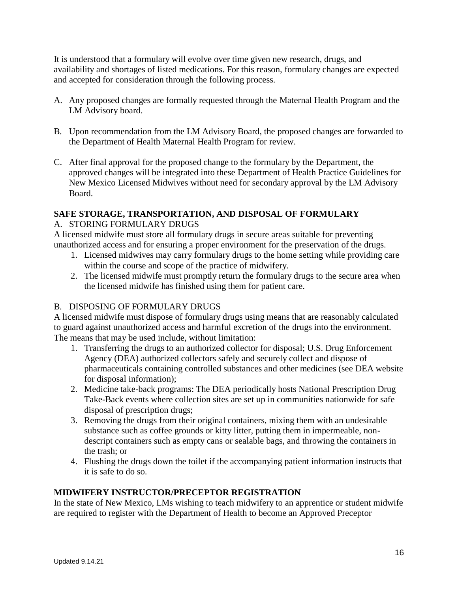It is understood that a formulary will evolve over time given new research, drugs, and availability and shortages of listed medications. For this reason, formulary changes are expected and accepted for consideration through the following process.

- A. Any proposed changes are formally requested through the Maternal Health Program and the LM Advisory board.
- B. Upon recommendation from the LM Advisory Board, the proposed changes are forwarded to the Department of Health Maternal Health Program for review.
- C. After final approval for the proposed change to the formulary by the Department, the approved changes will be integrated into these Department of Health Practice Guidelines for New Mexico Licensed Midwives without need for secondary approval by the LM Advisory Board.

#### **SAFE STORAGE, TRANSPORTATION, AND DISPOSAL OF FORMULARY** A. STORING FORMULARY DRUGS

A licensed midwife must store all formulary drugs in secure areas suitable for preventing unauthorized access and for ensuring a proper environment for the preservation of the drugs.

- 1. Licensed midwives may carry formulary drugs to the home setting while providing care within the course and scope of the practice of midwifery.
- 2. The licensed midwife must promptly return the formulary drugs to the secure area when the licensed midwife has finished using them for patient care.

# B. DISPOSING OF FORMULARY DRUGS

A licensed midwife must dispose of formulary drugs using means that are reasonably calculated to guard against unauthorized access and harmful excretion of the drugs into the environment. The means that may be used include, without limitation:

- 1. Transferring the drugs to an authorized collector for disposal; U.S. Drug Enforcement Agency (DEA) authorized collectors safely and securely collect and dispose of pharmaceuticals containing controlled substances and other medicines (see DEA website for disposal information);
- 2. Medicine take-back programs: The DEA periodically hosts National Prescription Drug Take-Back events where collection sites are set up in communities nationwide for safe disposal of prescription drugs;
- 3. Removing the drugs from their original containers, mixing them with an undesirable substance such as coffee grounds or kitty litter, putting them in impermeable, nondescript containers such as empty cans or sealable bags, and throwing the containers in the trash; or
- 4. Flushing the drugs down the toilet if the accompanying patient information instructs that it is safe to do so.

### **MIDWIFERY INSTRUCTOR/PRECEPTOR REGISTRATION**

In the state of New Mexico, LMs wishing to teach midwifery to an apprentice or student midwife are required to register with the Department of Health to become an Approved Preceptor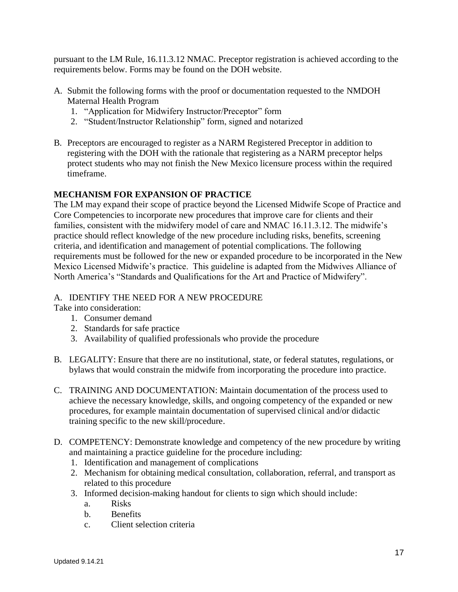pursuant to the LM Rule, 16.11.3.12 NMAC. Preceptor registration is achieved according to the requirements below. Forms may be found on the DOH website.

- A. Submit the following forms with the proof or documentation requested to the NMDOH Maternal Health Program
	- 1. "Application for Midwifery Instructor/Preceptor" form
	- 2. "Student/Instructor Relationship" form, signed and notarized
- B. Preceptors are encouraged to register as a NARM Registered Preceptor in addition to registering with the DOH with the rationale that registering as a NARM preceptor helps protect students who may not finish the New Mexico licensure process within the required timeframe.

### **MECHANISM FOR EXPANSION OF PRACTICE**

The LM may expand their scope of practice beyond the Licensed Midwife Scope of Practice and Core Competencies to incorporate new procedures that improve care for clients and their families, consistent with the midwifery model of care and NMAC 16.11.3.12. The midwife's practice should reflect knowledge of the new procedure including risks, benefits, screening criteria, and identification and management of potential complications. The following requirements must be followed for the new or expanded procedure to be incorporated in the New Mexico Licensed Midwife's practice. This guideline is adapted from the Midwives Alliance of North America's "Standards and Qualifications for the Art and Practice of Midwifery".

#### A. IDENTIFY THE NEED FOR A NEW PROCEDURE

Take into consideration:

- 1. Consumer demand
- 2. Standards for safe practice
- 3. Availability of qualified professionals who provide the procedure
- B. LEGALITY: Ensure that there are no institutional, state, or federal statutes, regulations, or bylaws that would constrain the midwife from incorporating the procedure into practice.
- C. TRAINING AND DOCUMENTATION: Maintain documentation of the process used to achieve the necessary knowledge, skills, and ongoing competency of the expanded or new procedures, for example maintain documentation of supervised clinical and/or didactic training specific to the new skill/procedure.
- D. COMPETENCY: Demonstrate knowledge and competency of the new procedure by writing and maintaining a practice guideline for the procedure including:
	- 1. Identification and management of complications
	- 2. Mechanism for obtaining medical consultation, collaboration, referral, and transport as related to this procedure
	- 3. Informed decision-making handout for clients to sign which should include:
		- a. Risks
		- b. Benefits
		- c. Client selection criteria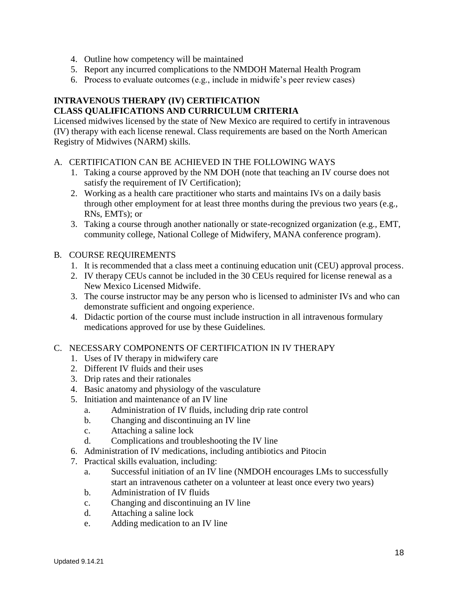- 4. Outline how competency will be maintained
- 5. Report any incurred complications to the NMDOH Maternal Health Program
- 6. Process to evaluate outcomes (e.g., include in midwife's peer review cases)

# **INTRAVENOUS THERAPY (IV) CERTIFICATION CLASS QUALIFICATIONS AND CURRICULUM CRITERIA**

Licensed midwives licensed by the state of New Mexico are required to certify in intravenous (IV) therapy with each license renewal. Class requirements are based on the North American Registry of Midwives (NARM) skills.

- A. CERTIFICATION CAN BE ACHIEVED IN THE FOLLOWING WAYS
	- 1. Taking a course approved by the NM DOH (note that teaching an IV course does not satisfy the requirement of IV Certification);
	- 2. Working as a health care practitioner who starts and maintains IVs on a daily basis through other employment for at least three months during the previous two years (e.g., RNs, EMTs); or
	- 3. Taking a course through another nationally or state-recognized organization (e.g., EMT, community college, National College of Midwifery, MANA conference program).
- B. COURSE REQUIREMENTS
	- 1. It is recommended that a class meet a continuing education unit (CEU) approval process.
	- 2. IV therapy CEUs cannot be included in the 30 CEUs required for license renewal as a New Mexico Licensed Midwife.
	- 3. The course instructor may be any person who is licensed to administer IVs and who can demonstrate sufficient and ongoing experience.
	- 4. Didactic portion of the course must include instruction in all intravenous formulary medications approved for use by these Guidelines.

### C. NECESSARY COMPONENTS OF CERTIFICATION IN IV THERAPY

- 1. Uses of IV therapy in midwifery care
- 2. Different IV fluids and their uses
- 3. Drip rates and their rationales
- 4. Basic anatomy and physiology of the vasculature
- 5. Initiation and maintenance of an IV line
	- a. Administration of IV fluids, including drip rate control
	- b. Changing and discontinuing an IV line
	- c. Attaching a saline lock
	- d. Complications and troubleshooting the IV line
- 6. Administration of IV medications, including antibiotics and Pitocin
- 7. Practical skills evaluation, including:
	- a. Successful initiation of an IV line (NMDOH encourages LMs to successfully start an intravenous catheter on a volunteer at least once every two years)
	- b. Administration of IV fluids
	- c. Changing and discontinuing an IV line
	- d. Attaching a saline lock
	- e. Adding medication to an IV line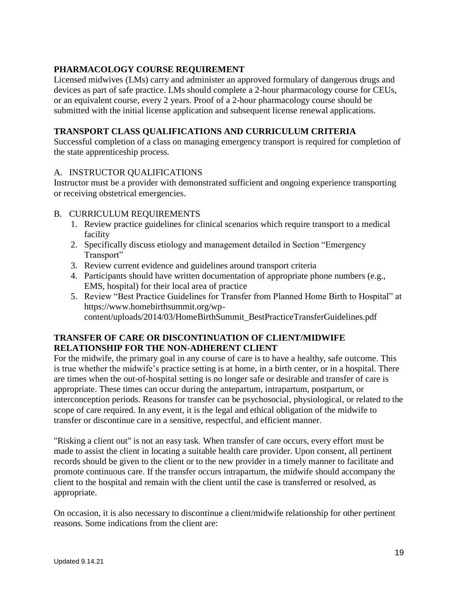## **PHARMACOLOGY COURSE REQUIREMENT**

Licensed midwives (LMs) carry and administer an approved formulary of dangerous drugs and devices as part of safe practice. LMs should complete a 2-hour pharmacology course for CEUs, or an equivalent course, every 2 years. Proof of a 2-hour pharmacology course should be submitted with the initial license application and subsequent license renewal applications.

## **TRANSPORT CLASS QUALIFICATIONS AND CURRICULUM CRITERIA**

Successful completion of a class on managing emergency transport is required for completion of the state apprenticeship process.

### A. INSTRUCTOR QUALIFICATIONS

Instructor must be a provider with demonstrated sufficient and ongoing experience transporting or receiving obstetrical emergencies.

### B. CURRICULUM REQUIREMENTS

- 1. Review practice guidelines for clinical scenarios which require transport to a medical facility
- 2. Specifically discuss etiology and management detailed in Section "Emergency Transport"
- 3. Review current evidence and guidelines around transport criteria
- 4. Participants should have written documentation of appropriate phone numbers (e.g., EMS, hospital) for their local area of practice
- 5. Review "Best Practice Guidelines for Transfer from Planned Home Birth to Hospital" at https://www.homebirthsummit.org/wpcontent/uploads/2014/03/HomeBirthSummit\_BestPracticeTransferGuidelines.pdf

### **TRANSFER OF CARE OR DISCONTINUATION OF CLIENT/MIDWIFE RELATIONSHIP FOR THE NON-ADHERENT CLIENT**

For the midwife, the primary goal in any course of care is to have a healthy, safe outcome. This is true whether the midwife's practice setting is at home, in a birth center, or in a hospital. There are times when the out-of-hospital setting is no longer safe or desirable and transfer of care is appropriate. These times can occur during the antepartum, intrapartum, postpartum, or interconception periods. Reasons for transfer can be psychosocial, physiological, or related to the scope of care required. In any event, it is the legal and ethical obligation of the midwife to transfer or discontinue care in a sensitive, respectful, and efficient manner.

"Risking a client out" is not an easy task. When transfer of care occurs, every effort must be made to assist the client in locating a suitable health care provider. Upon consent, all pertinent records should be given to the client or to the new provider in a timely manner to facilitate and promote continuous care. If the transfer occurs intrapartum, the midwife should accompany the client to the hospital and remain with the client until the case is transferred or resolved, as appropriate.

On occasion, it is also necessary to discontinue a client/midwife relationship for other pertinent reasons. Some indications from the client are: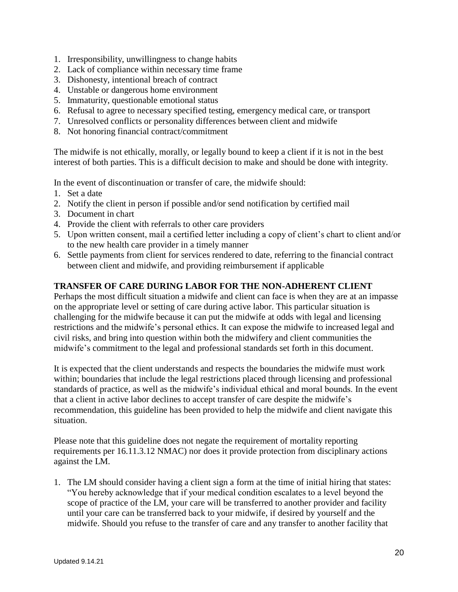- 1. Irresponsibility, unwillingness to change habits
- 2. Lack of compliance within necessary time frame
- 3. Dishonesty, intentional breach of contract
- 4. Unstable or dangerous home environment
- 5. Immaturity, questionable emotional status
- 6. Refusal to agree to necessary specified testing, emergency medical care, or transport
- 7. Unresolved conflicts or personality differences between client and midwife
- 8. Not honoring financial contract/commitment

The midwife is not ethically, morally, or legally bound to keep a client if it is not in the best interest of both parties. This is a difficult decision to make and should be done with integrity.

In the event of discontinuation or transfer of care, the midwife should:

- 1. Set a date
- 2. Notify the client in person if possible and/or send notification by certified mail
- 3. Document in chart
- 4. Provide the client with referrals to other care providers
- 5. Upon written consent, mail a certified letter including a copy of client's chart to client and/or to the new health care provider in a timely manner
- 6. Settle payments from client for services rendered to date, referring to the financial contract between client and midwife, and providing reimbursement if applicable

### **TRANSFER OF CARE DURING LABOR FOR THE NON-ADHERENT CLIENT**

Perhaps the most difficult situation a midwife and client can face is when they are at an impasse on the appropriate level or setting of care during active labor. This particular situation is challenging for the midwife because it can put the midwife at odds with legal and licensing restrictions and the midwife's personal ethics. It can expose the midwife to increased legal and civil risks, and bring into question within both the midwifery and client communities the midwife's commitment to the legal and professional standards set forth in this document.

It is expected that the client understands and respects the boundaries the midwife must work within; boundaries that include the legal restrictions placed through licensing and professional standards of practice, as well as the midwife's individual ethical and moral bounds. In the event that a client in active labor declines to accept transfer of care despite the midwife's recommendation, this guideline has been provided to help the midwife and client navigate this situation.

Please note that this guideline does not negate the requirement of mortality reporting requirements per 16.11.3.12 NMAC) nor does it provide protection from disciplinary actions against the LM.

1. The LM should consider having a client sign a form at the time of initial hiring that states: "You hereby acknowledge that if your medical condition escalates to a level beyond the scope of practice of the LM, your care will be transferred to another provider and facility until your care can be transferred back to your midwife, if desired by yourself and the midwife. Should you refuse to the transfer of care and any transfer to another facility that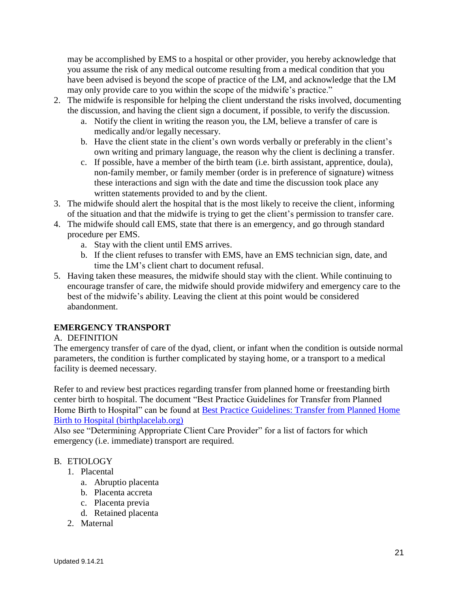may be accomplished by EMS to a hospital or other provider, you hereby acknowledge that you assume the risk of any medical outcome resulting from a medical condition that you have been advised is beyond the scope of practice of the LM, and acknowledge that the LM may only provide care to you within the scope of the midwife's practice."

- 2. The midwife is responsible for helping the client understand the risks involved, documenting the discussion, and having the client sign a document, if possible, to verify the discussion.
	- a. Notify the client in writing the reason you, the LM, believe a transfer of care is medically and/or legally necessary.
	- b. Have the client state in the client's own words verbally or preferably in the client's own writing and primary language, the reason why the client is declining a transfer.
	- c. If possible, have a member of the birth team (i.e. birth assistant, apprentice, doula), non-family member, or family member (order is in preference of signature) witness these interactions and sign with the date and time the discussion took place any written statements provided to and by the client.
- 3. The midwife should alert the hospital that is the most likely to receive the client, informing of the situation and that the midwife is trying to get the client's permission to transfer care.
- 4. The midwife should call EMS, state that there is an emergency, and go through standard procedure per EMS.
	- a. Stay with the client until EMS arrives.
	- b. If the client refuses to transfer with EMS, have an EMS technician sign, date, and time the LM's client chart to document refusal.
- 5. Having taken these measures, the midwife should stay with the client. While continuing to encourage transfer of care, the midwife should provide midwifery and emergency care to the best of the midwife's ability. Leaving the client at this point would be considered abandonment.

# **EMERGENCY TRANSPORT**

### A. DEFINITION

The emergency transfer of care of the dyad, client, or infant when the condition is outside normal parameters, the condition is further complicated by staying home, or a transport to a medical facility is deemed necessary.

Refer to and review best practices regarding transfer from planned home or freestanding birth center birth to hospital. The document "Best Practice Guidelines for Transfer from Planned Home Birth to Hospital" can be found at [Best Practice Guidelines: Transfer from Planned Home](https://www.birthplacelab.org/wp-content/uploads/2020/03/HomeBirthSummit_BestPracticeTransferGuidelines_gender-neutral-FINAL_3-23-2020.pdf)  [Birth to Hospital \(birthplacelab.org\)](https://www.birthplacelab.org/wp-content/uploads/2020/03/HomeBirthSummit_BestPracticeTransferGuidelines_gender-neutral-FINAL_3-23-2020.pdf)

Also see "Determining Appropriate Client Care Provider" for a list of factors for which emergency (i.e. immediate) transport are required.

# B. ETIOLOGY

- 1. Placental
	- a. Abruptio placenta
	- b. Placenta accreta
	- c. Placenta previa
	- d. Retained placenta
- 2. Maternal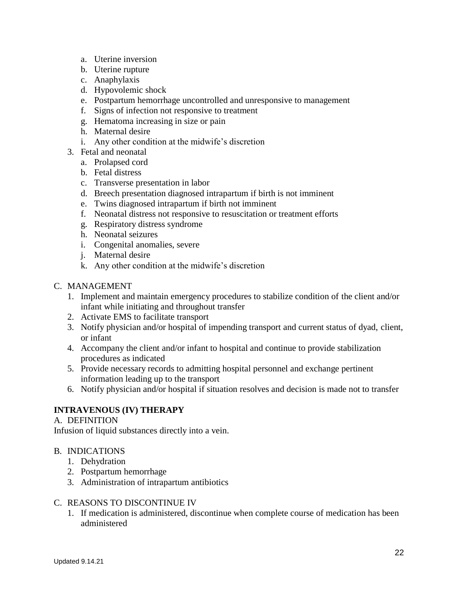- a. Uterine inversion
- b. Uterine rupture
- c. Anaphylaxis
- d. Hypovolemic shock
- e. Postpartum hemorrhage uncontrolled and unresponsive to management
- f. Signs of infection not responsive to treatment
- g. Hematoma increasing in size or pain
- h. Maternal desire
- i. Any other condition at the midwife's discretion
- 3. Fetal and neonatal
	- a. Prolapsed cord
	- b. Fetal distress
	- c. Transverse presentation in labor
	- d. Breech presentation diagnosed intrapartum if birth is not imminent
	- e. Twins diagnosed intrapartum if birth not imminent
	- f. Neonatal distress not responsive to resuscitation or treatment efforts
	- g. Respiratory distress syndrome
	- h. Neonatal seizures
	- i. Congenital anomalies, severe
	- j. Maternal desire
	- k. Any other condition at the midwife's discretion
- C. MANAGEMENT
	- 1. Implement and maintain emergency procedures to stabilize condition of the client and/or infant while initiating and throughout transfer
	- 2. Activate EMS to facilitate transport
	- 3. Notify physician and/or hospital of impending transport and current status of dyad, client, or infant
	- 4. Accompany the client and/or infant to hospital and continue to provide stabilization procedures as indicated
	- 5. Provide necessary records to admitting hospital personnel and exchange pertinent information leading up to the transport
	- 6. Notify physician and/or hospital if situation resolves and decision is made not to transfer

### **INTRAVENOUS (IV) THERAPY**

#### A. DEFINITION

Infusion of liquid substances directly into a vein.

#### B. INDICATIONS

- 1. Dehydration
- 2. Postpartum hemorrhage
- 3. Administration of intrapartum antibiotics

#### C. REASONS TO DISCONTINUE IV

1. If medication is administered, discontinue when complete course of medication has been administered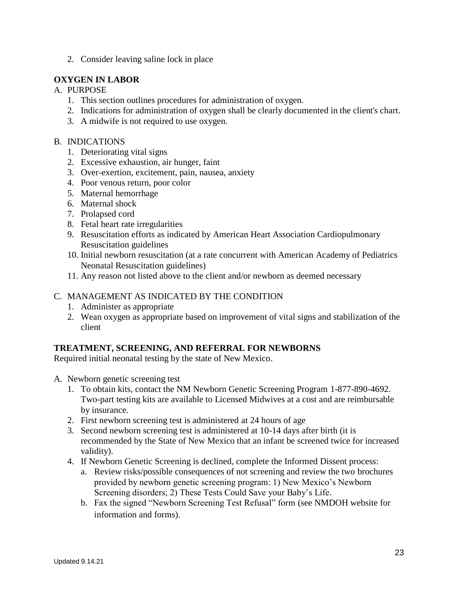2. Consider leaving saline lock in place

## **OXYGEN IN LABOR**

### A. PURPOSE

- 1. This section outlines procedures for administration of oxygen.
- 2. Indications for administration of oxygen shall be clearly documented in the client's chart.
- 3. A midwife is not required to use oxygen.

#### B. INDICATIONS

- 1. Deteriorating vital signs
- 2. Excessive exhaustion, air hunger, faint
- 3. Over-exertion, excitement, pain, nausea, anxiety
- 4. Poor venous return, poor color
- 5. Maternal hemorrhage
- 6. Maternal shock
- 7. Prolapsed cord
- 8. Fetal heart rate irregularities
- 9. Resuscitation efforts as indicated by American Heart Association Cardiopulmonary Resuscitation guidelines
- 10. Initial newborn resuscitation (at a rate concurrent with American Academy of Pediatrics Neonatal Resuscitation guidelines)
- 11. Any reason not listed above to the client and/or newborn as deemed necessary

## C. MANAGEMENT AS INDICATED BY THE CONDITION

- 1. Administer as appropriate
- 2. Wean oxygen as appropriate based on improvement of vital signs and stabilization of the client

### **TREATMENT, SCREENING, AND REFERRAL FOR NEWBORNS**

Required initial neonatal testing by the state of New Mexico.

- A. Newborn genetic screening test
	- 1. To obtain kits, contact the NM Newborn Genetic Screening Program 1-877-890-4692. Two-part testing kits are available to Licensed Midwives at a cost and are reimbursable by insurance.
	- 2. First newborn screening test is administered at 24 hours of age
	- 3. Second newborn screening test is administered at 10-14 days after birth (it is recommended by the State of New Mexico that an infant be screened twice for increased validity).
	- 4. If Newborn Genetic Screening is declined, complete the Informed Dissent process:
		- a. Review risks/possible consequences of not screening and review the two brochures provided by newborn genetic screening program: 1) New Mexico's Newborn Screening disorders; 2) These Tests Could Save your Baby's Life.
		- b. Fax the signed "Newborn Screening Test Refusal" form (see NMDOH website for information and forms).